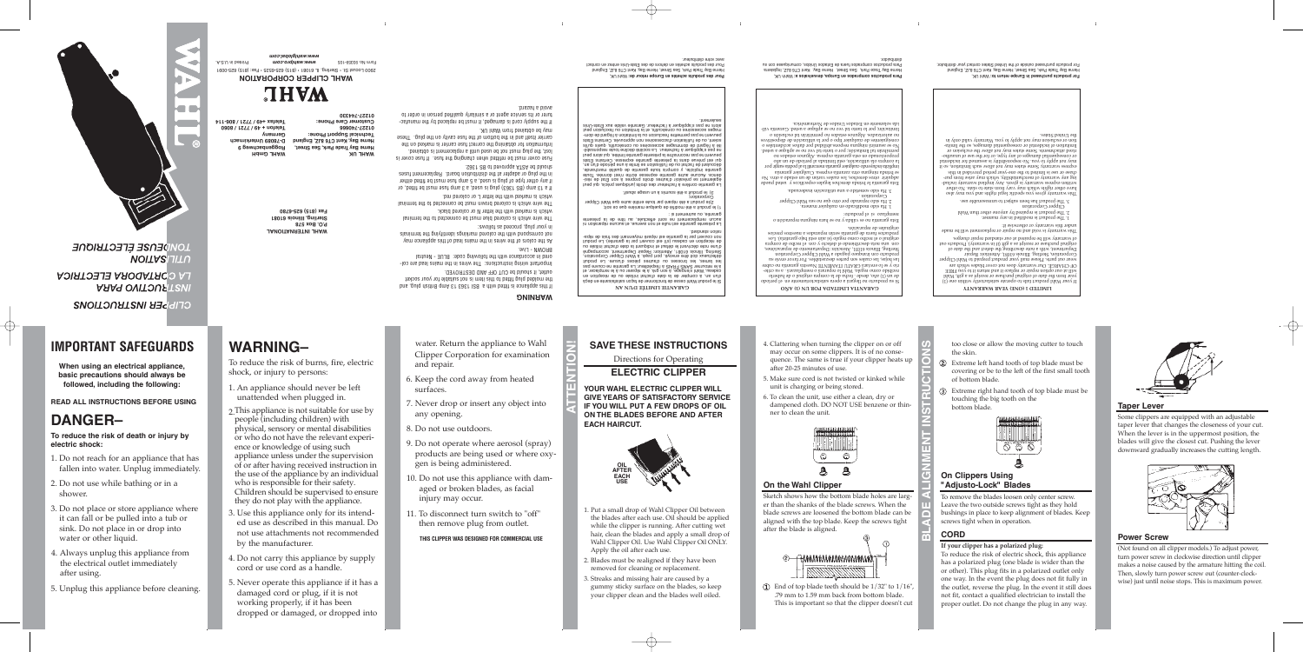# avec votre gistriputeur.

Pour des produits achetés en Europe retour de: Wahl UK,<br>Pour des produits achetés en Europe retour de: Wahl UK, Pour des produits achetés en dehors de des Etats-Unis entrez en contact

**H** GwpH **9 hweg <sup>c</sup> enba gg Ro D-78089 Unterkirnach yn Germa**

### **TIONAL A INTERN AHL W 578 xoB. O. P 61081 Illinois , Sterling** bns , pulq daiting qmA 61 6361 128 is dtiw bettit ai eonsilqqs aidt this cket so you can suit source to use it even the included to know and the socket lmportant wiring instructions: The wires in the misms lead are col-We the colors of the wires in the mains lead of this of colors and the V als the identifying marking the colored marking the ferminals The wire which is colored blue must be connected in the terminal

**8060 / 7721 / 49 + on f ele T 806-114 / 7721 / +49 elefax T** For products purchased outside of the United States contact your distributor

in values are well as a post-only to you. Warranty valle only in

səiris. Dəfin ən

**625-6780 (815) ax F**

**UK AHL W**

**TION ARE CLIPPER CORPORATION <b>ARGER** 1932-0091 IL CLIPPER CORPORT CORPORATION Form to 93359-105 **www.wanipro.com <b>mo.com mo.com www.wanipro.com mode** *.wahlglobal.com w ww*

**THAW** 

**Street, Sea , ark P rade Tya B Herne England , 8JZ CT6 ent K, ya B Herne : Technical Support Phone 01227-740666 : Customer Care Phone 01227-744330**

> **AÑO (1) UN POR A AD T LIMI A GARANTI** íodo per el en satisfactoriamente opera <sup>a</sup> llegará no oducto r p su Si haberlo de <sup>o</sup> original compra la de fecha . desde año, (1) un de ter como regalo, viani lo reparara o reemplazara . a su crite rio y se lo enviará GRATU ITAMENTE Nuestra garantía no cubre<br>las populará de la grae deszastables. Por favor envíe su Sterling, Ilinois 61031, Atención: Departamento de reparaciónes,<br>Sterling, Illinois 61031, Atención: Departamento de reparaciónes, a compre describiente el defecto y con el recibo de compra Los garativía). Bajo está pajo (si aún está bajo garatiria). Los ecios representa escripto reparados e parados recios.<br>Fuerados de representa do selectivo

**ARRANTY W YEAR (ONE) 1 LIMITED** (1) one nithiw vlinotostains of and alist to hable the Wahl Public (1).<br>If a as extended to the product range of the W with with wear and wear and wear the W will also wears the W wi EE FR you to it eturn r and it eplace r or epair r option our at will wear out parts. Please mail your product prepaid to Wahl Clipper<br>OF CHARGE. Our warranty does not cover blades which are Corporation, Sterling, Illinois 61081, Attention: Repair<br>Department, with a note describing the defect and the date of<br>Organization, a mote describing the defect and the date of es. redee in the pair of epair of the standard repair charges. This and alliw theory is contained by the made.<br>This many or otherwise if:

hazard. a avoid

ored in accordance with the following code: BLUE - Neutral

The wire which is colored brown must be connected of he terminal

If a 13 amp (BS 1365) plug is used, a 5 amp fuse must be fitted, or if any other type of plug is used, a 5 amp fuse must be fitted either in the plug or adapter at the distribution board. Replacement fuses

Fuse cover must be refitted when changing the fuse. If fuse cover is . benistdo ai themasalqen a litnu beeu ed ton teung bulg edt , teol the on marked is correct these carrier is marked on the carrier itself and in the bottom of the fuse oanly on the plug. These

action of must be must be must be replaced by the manufactured. turer or its service agent or a similarly qualified person in order to

> **AN D'UN LIMITÉE GARANTIE** e buonni meni cesse de roucirouner de raçou sarisfaris en deça en en de ou intervent de la date d'achat initiale un de réception en è le retourner SMAS i sou réparer le s'enseigne en son de se son à le seule de s<br>pas de la Cadeau, en la Cadeau de le s'encouvre le garantie de couvre pas se rational de construction pour pieces ou de la resultation de la produit ion, and a bo co co co co co consistent de presente de presentation, en esconsistent de presentation de presen<br>Stelling, le détre doit le possibilité de presentant de presentation de presentation de presentation de presen uo eur décrivant le défaut de ludie la défaut de la serie de iiuborq eJ .(eitnstag al traq trevuos tee li'a) usebas ne noitgeser eb<br>-sqèr eb aisti aeb triamneyom ètaqèr tee eitnstag al traq trevuos non

La présente gainare aulle et non et ulle aucune et une est est en la présente la<br>et de la présente en la présente de la de titre de la presente de la présente

La garantie confère la forme des langues des l'acheteurs des réseix des réseixes des l'achetes<br>-ieèr eb tat∃ noe à l'achet antier bentie l'olisvèng es themelagè eute Triente anne darante expresse ecrite its it require iten ,əbnarləham ətilaup əb əitnanap əhubi ahqmoə v ,ətləilqmi əitnanap<br>,na nu'b əboriəq ənu á ətimil əa notiaalitlu'l əb uo tarba'l əb tnaluocəb<br>atal∃ aniatrəO .eazənqxə əitmanap ətnəaənq al anab əuvənq taə lup enneur ue bez recouvairre la présente garantie limitée, qui alors peut ité à l'égard de dommages aussions en couséeuries par l'égard de l'angustif de l'acheteu à diffuse de l'égard<br>La pas de l'égard de la manges accessoires ou consécutifs l'égard de la libre.  $\sin$  suigue $\cos$  se noudde uou seuceseope nonges non appropriation de l'utilisation de l'utilisation de l'accessoires non approximation de l'utilisation de l'accessoires de l'accessoires de l'accessoires de l'accessoires d -mob eb brage'l à noitstimil al uo noizuloxe'l erttemneq aaq en tnevueq<br>tueq noizuloxe'l uo noitstimil al 1e ,etituoèanoo uo aeniozaeoos zegam tnement.<br>sinU-stst∃ xus ebilsv eitnsns∂ ruetenkal al s'appliqqs's asq en avois.

soit ie buonii e ere unouire de drendre une université a produit Corporation;<br>2)le produit a été réparé par toute entité autre que Wahl Clipper

3) le produit a été soumis à un usage abusit.

4. Clattering when turning the clipper on or off may occur on some clippers. It is of no consequence. The same is true if your clipper heats up

Sketch shows how the bottom blade holes are larger than the shanks of the blade screws. When the blade screws are loosened the bottom blade can be aligned with the top blade. Keep the screws tight

 $\Omega$  End of top blade teeth should be 1/32" to 1/16", .79 mm to 1.59 mm back from bottom blade. This is important so that the clipper doesn't cut

2<del> AMMMMMMMMMMMM</del>

standard. ation r

si autrement ou sin is a single to send that it is

# **IMPORTANT SAFEGUARDS**

**When using an electrical appliance, basic precautions should always be followed, including the following:**

**READ ALL INSTRUCTIONS BEFORE USING**

# **DANGER–**

**To reduce the risk of death or injury by electric shock:**

- 1. Do not reach for an appliance that has fallen into water. Unplug immediately.
- 2. Do not use while bathing or in a shower.
- 3. Do not place or store appliance where it can fall or be pulled into a tub or sink. Do not place in or drop into water or other liquid.
- 4. Always unplug this appliance from the electrical outlet immediately after using.
- 5. Unplug this appliance before cleaning.

# **WARNING–**

To reduce the risk of burns, fire, electric shock, or injury to persons:

- 1. An appliance should never be left unattended when plugged in.
- 2. This appliance is not suitable for use by people (including children) with physical, sensory or mental disabilities or who do not have the relevant experience or knowledge of using such appliance unless under the supervision of or after having received instruction in the use of the appliance by an individual who is responsible for their safety. Children should be supervised to ensure they do not play with the appliance.
- 3. Use this appliance only for its intended use as described in this manual. Do not use attachments not recommended by the manufacturer.
- 4. Do not carry this appliance by supply cord or use cord as a handle.
- 5. Never operate this appliance if it has a damaged cord or plug, if it is not working properly, if it has been dropped or damaged, or dropped into

water. Return the appliance to Wahl Clipper Corporation for examination and repair.

outlet, it should be CUT OFF AND DESTROYED.

which is marked with the letter N or colored black.

which is marked with the letter L or colored red.

. S∂E1 28 ot bevonqqs AT2A ed bluona

. AU InsW mont benistdo ed vam

# 6. Keep the cord away from heated

- 
- 8. Do not use outdoors.
- 
- 
- 
- surfaces.
- 7. Never drop or insert any object into any opening.
- 
- 9. Do not operate where aerosol (spray) products are being used or where oxygen is being administered.
- 10. Do not use this appliance with damaged or broken blades, as facial injury may occur.
- 11. To disconnect turn switch to "off" then remove plug from outlet.

## **THIS CLIPPER WAS DESIGNED FOR COMMERCIAL USE**

## **SAVE THESE INSTRUCTIONS**

## Directions for Operating





**ON THE BLADES BEFORE AND AFTER**

- 1. Put a small drop of Wahl Clipper Oil between the blades after each use. Oil should be applied while the clipper is running. After cutting wet hair, clean the blades and apply a small drop of Wahl Clipper Oil. Use Wahl Clipper Oil ONLY. Apply the oil after each use.
- 2. Blades must be realigned if they have been removed for cleaning or replacement.
- 3. Streaks and missing hair are caused by a gummy sticky surface on the blades, so keep your clipper clean and the blades well oiled.



# **NOITASLITU** LA CORTADORA ELECTRICA

**ARAG OVITOUR TEVIL** 

**CLIPPER INSTRUCTIONS** 

after 20-25 minutes of use.

5. Make sure cord is not twisted or kinked while

unit is charging or being stored.

- 
- 
- 
- 
- 
- 
- 

6. To clean the unit, use either a clean, dry or dampened cloth. DO NOT USE benzene or thin-

ner to clean the unit.

**On the Wahl Clipper**

after the blade is aligned.

too close or allow the moving cutter to touch

the skin.



Extreme left hand tooth of top blade must be covering or be to the left of the first small tooth

of bottom blade.

Extreme right hand tooth of top blade must be

560

touching the big tooth on the

. The product is modified in any manner. Clipper Corporation<br>Clipper Corporation<br>Clipper Corporation e. The broater ras been analect to miteasonable use. Uals vary warranty over the specific legal specific warrant and other red to other red to other that the vary w<br>This state of the state of the state of the state of the state of the state of the state of the state of the s includ any warranty is who writes who written warranty indud-<br>- ind mort seins yam rhitw , yilidsinadrien to ymariaw yna gui stup in papirond pound read-and oup or papirities in a series of the top and the top and the top and the top and the top and the top and the top and the top and the top and the top and the top and the top and the top and t os it solitation, some allow not may not may be a may be a warrant essay or consequential damages of any damages of may not dependential or horizon.<br>- hor to apply to you. Not appe, or the form of the may be dependential. or exclusion the allow not allow not allow not may not allow not may be expected.

Henne Bay Trade Park, Sea Street, Herne Bay, Kent CT6 8JZ, England<br>For products purchased in Europe return to: Wahl UK,

**Para productos comprados en Europa, devuelvalos a:** Wahh UK,<br>Heme Bay Trace Park, Sea Street, Herne Bay, Kent CT6 8JZ, Inglaterra

stimil oft os , esgamab laitno

bottom blade.

**On Clippers Using "Adjusto-Lock" Blades**

To remove the blades loosen only center screw. Leave the two outside screws tight as they hold bushings in place to keep alignment of blades. Keep

screws tight when in operation.

**CORD**

**If your clipper has a polarized plug:**

bel a stede proved a brinda proved prinda produsticos de proved puesto proved proved proved proved proved prov<br>No corpora especies rando un de corpora estado un destado e ordo rando proved proved proved proved proved sont s puue rearchier esa. r esardxa enuerez e que no eunguna sentra e por regior al dividir al formatía al la guaratía por porta angula cualquier do cualquier do implícit do implíc la compra ola utilización, esta limitada al período de un año<br>Propresa. Algunos estados no hola e applique se on sev lat othet o roq ; tobositanil lat narditmeq.<br>O espatrolores aconsidues and permitacións as elementes se o<br>covitizoqaib ab nòi assilitu al roq o oqti raiuplano ab assinangianos o uoisnoxa en ugunumad ou soperas sounal y sopezionne ida solamente en Estados Unidos de Norteamérica.<br>Imitación; por lo tanto la porte de porte la tanto los vál-

Para productos comprados fuera de Estados Unidos, comuniquese con si

3. Ha sido sometido a una utilización inadecuada.

Corporation .<br>Corporation .<br>Corporation .

manera. Cualquier en castellant manera.

eparación.<br>Traxector

.robiudi taib

soupped is or producto:

- 
- 
- 
- 
- 
- 
- 
- 
- 
- 
- 
- 
- 
- 
- 
- 
- 
- 
- 
- 
- 
- 
- 
- 
- 
- 
- 
- o uotperador eun dun errey es ou A epitea se ou enueres ess
- 

To reduce the risk of electric shock, this appliance has a polarized plug (one blade is wider than the or other). This plug fits in a polarized outlet only one way. In the event the plug does not fit fully in the outlet, reverse the plug. In the event it still does not fit, contact a qualified electrician to install the proper outlet. Do not change the plug in any way.

**Taper Lever**

Some clippers are equipped with an adjustable taper lever that changes the closeness of your cut. When the lever is in the uppermost position, the blades will give the closest cut. Pushing the lever downward gradually increases the cutting length.

**Power Screw**

(Not found on all clipper models.) To adjust power, turn power screw in clockwise direction until clipper makes a noise caused by the armature hitting the coil. Then, slowly turn power screw out (counter-clockwise) just until noise stops. This is maximum power.

**ATTENTION!**

**WARNING** 

RHOMN - LIVE.

iu λont bing, proceed as follows:

**BLADE ALIGNMENT INST**

**RUCTIONS**

Ŀ.